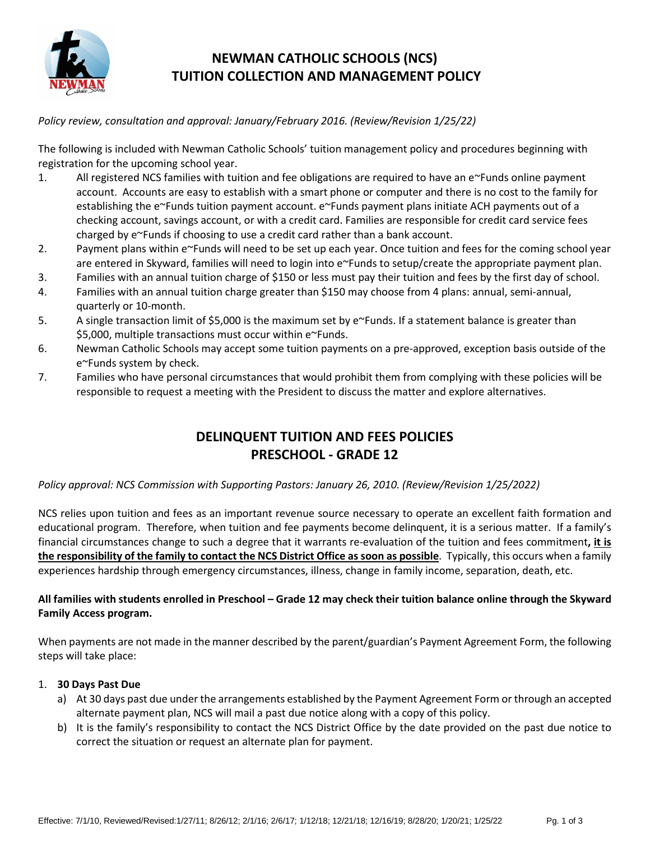

# **NEWMAN CATHOLIC SCHOOLS (NCS) TUITION COLLECTION AND MANAGEMENT POLICY**

*Policy review, consultation and approval: January/February 2016. (Review/Revision 1/25/22)*

The following is included with Newman Catholic Schools' tuition management policy and procedures beginning with registration for the upcoming school year.

- 1. All registered NCS families with tuition and fee obligations are required to have an e~Funds online payment account. Accounts are easy to establish with a smart phone or computer and there is no cost to the family for establishing the e~Funds tuition payment account. e~Funds payment plans initiate ACH payments out of a checking account, savings account, or with a credit card. Families are responsible for credit card service fees charged by e~Funds if choosing to use a credit card rather than a bank account.
- 2. Payment plans within e~Funds will need to be set up each year. Once tuition and fees for the coming school year are entered in Skyward, families will need to login into e~Funds to setup/create the appropriate payment plan.
- 3. Families with an annual tuition charge of \$150 or less must pay their tuition and fees by the first day of school.
- 4. Families with an annual tuition charge greater than \$150 may choose from 4 plans: annual, semi-annual, quarterly or 10-month.
- 5. A single transaction limit of \$5,000 is the maximum set by e~Funds. If a statement balance is greater than \$5,000, multiple transactions must occur within e~Funds.
- 6. Newman Catholic Schools may accept some tuition payments on a pre-approved, exception basis outside of the e~Funds system by check.
- 7. Families who have personal circumstances that would prohibit them from complying with these policies will be responsible to request a meeting with the President to discuss the matter and explore alternatives.

# **DELINQUENT TUITION AND FEES POLICIES PRESCHOOL - GRADE 12**

# *Policy approval: NCS Commission with Supporting Pastors: January 26, 2010. (Review/Revision 1/25/2022)*

NCS relies upon tuition and fees as an important revenue source necessary to operate an excellent faith formation and educational program. Therefore, when tuition and fee payments become delinquent, it is a serious matter. If a family's financial circumstances change to such a degree that it warrants re-evaluation of the tuition and fees commitment**, it is the responsibility of the family to contact the NCS District Office as soon as possible**. Typically, this occurs when a family experiences hardship through emergency circumstances, illness, change in family income, separation, death, etc.

# **All families with students enrolled in Preschool – Grade 12 may check their tuition balance online through the Skyward Family Access program.**

When payments are not made in the manner described by the parent/guardian's Payment Agreement Form, the following steps will take place:

# 1. **30 Days Past Due**

- a) At 30 days past due under the arrangements established by the Payment Agreement Form or through an accepted alternate payment plan, NCS will mail a past due notice along with a copy of this policy.
- b) It is the family's responsibility to contact the NCS District Office by the date provided on the past due notice to correct the situation or request an alternate plan for payment.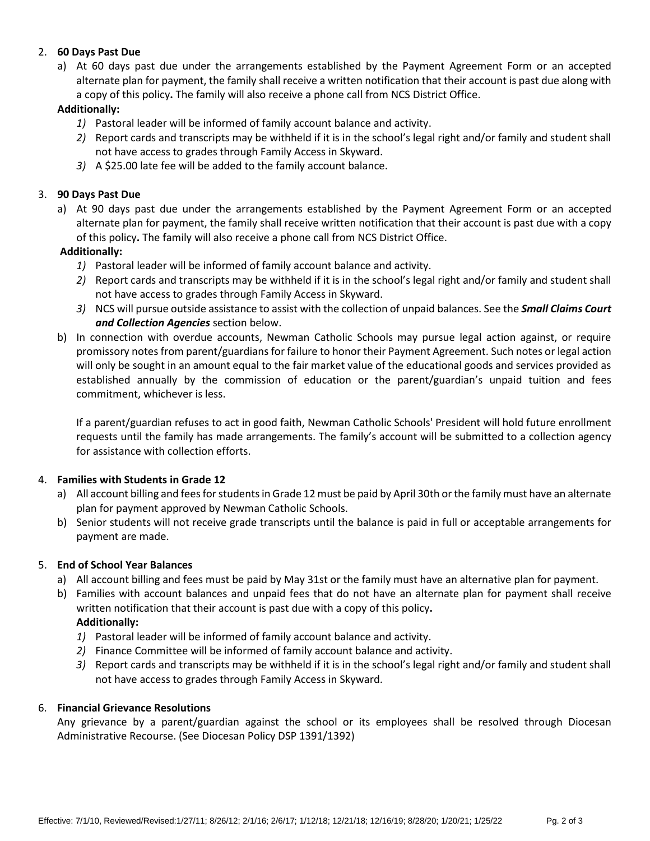# 2. **60 Days Past Due**

a) At 60 days past due under the arrangements established by the Payment Agreement Form or an accepted alternate plan for payment, the family shall receive a written notification that their account is past due along with a copy of this policy**.** The family will also receive a phone call from NCS District Office.

## **Additionally:**

- *1)* Pastoral leader will be informed of family account balance and activity.
- *2)* Report cards and transcripts may be withheld if it is in the school's legal right and/or family and student shall not have access to grades through Family Access in Skyward.
- *3)* A \$25.00 late fee will be added to the family account balance.

## 3. **90 Days Past Due**

a) At 90 days past due under the arrangements established by the Payment Agreement Form or an accepted alternate plan for payment, the family shall receive written notification that their account is past due with a copy of this policy**.** The family will also receive a phone call from NCS District Office.

## **Additionally:**

- *1)* Pastoral leader will be informed of family account balance and activity.
- *2)* Report cards and transcripts may be withheld if it is in the school's legal right and/or family and student shall not have access to grades through Family Access in Skyward.
- *3)* NCS will pursue outside assistance to assist with the collection of unpaid balances. See the *Small Claims Court and Collection Agencies* section below.
- b) In connection with overdue accounts, Newman Catholic Schools may pursue legal action against, or require promissory notes from parent/guardians for failure to honor their Payment Agreement. Such notes or legal action will only be sought in an amount equal to the fair market value of the educational goods and services provided as established annually by the commission of education or the parent/guardian's unpaid tuition and fees commitment, whichever is less.

If a parent/guardian refuses to act in good faith, Newman Catholic Schools' President will hold future enrollment requests until the family has made arrangements. The family's account will be submitted to a collection agency for assistance with collection efforts.

### 4. **Families with Students in Grade 12**

- a) All account billing and fees for students in Grade 12 must be paid by April 30th or the family must have an alternate plan for payment approved by Newman Catholic Schools.
- b) Senior students will not receive grade transcripts until the balance is paid in full or acceptable arrangements for payment are made.

### 5. **End of School Year Balances**

- a) All account billing and fees must be paid by May 31st or the family must have an alternative plan for payment.
- b) Families with account balances and unpaid fees that do not have an alternate plan for payment shall receive written notification that their account is past due with a copy of this policy**. Additionally:**
	- *1)* Pastoral leader will be informed of family account balance and activity.
	- *2)* Finance Committee will be informed of family account balance and activity.
	- *3)* Report cards and transcripts may be withheld if it is in the school's legal right and/or family and student shall not have access to grades through Family Access in Skyward.

### 6. **Financial Grievance Resolutions**

Any grievance by a parent/guardian against the school or its employees shall be resolved through Diocesan Administrative Recourse. (See Diocesan Policy DSP 1391/1392)